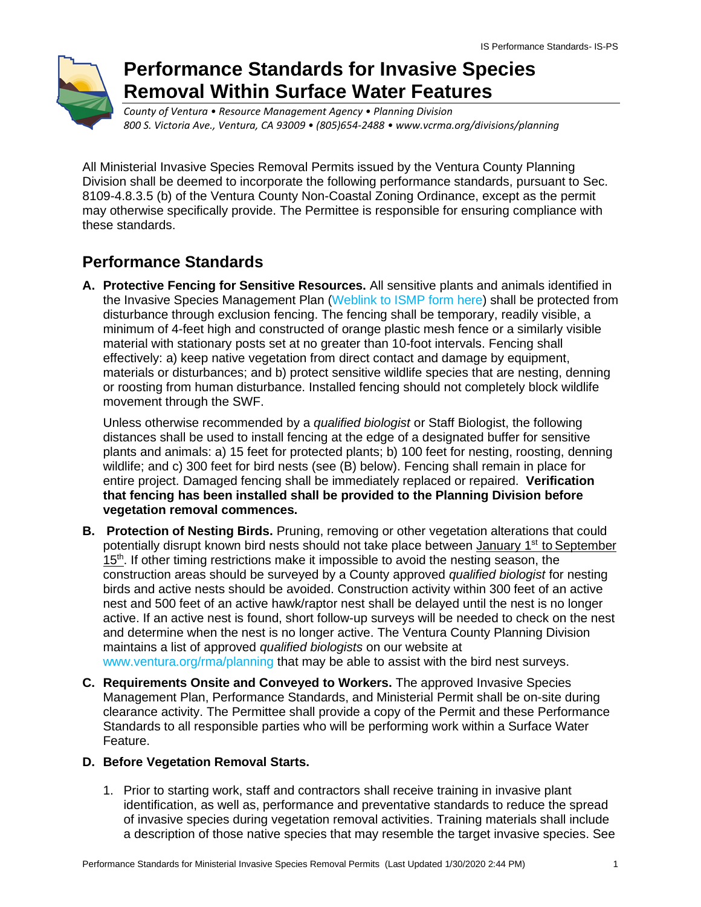

# **Performance Standards for Invasive Species Removal Within Surface Water Features**

*County of Ventura • Resource Management Agency • Planning Division 800 S. Victoria Ave., Ventura, CA 93009 • (805)654-2488 • www.vcrma.org/divisions/planning*

All Ministerial Invasive Species Removal Permits issued by the Ventura County Planning Division shall be deemed to incorporate the following performance standards, pursuant to Sec. 8109-4.8.3.5 (b) of the Ventura County Non-Coastal Zoning Ordinance, except as the permit may otherwise specifically provide. The Permittee is responsible for ensuring compliance with these standards.

## **Performance Standards**

**A. Protective Fencing for Sensitive Resources.** All sensitive plants and animals identified in the Invasive Species Management Plan [\(Weblink to ISMP form](https://docs.vcrma.org/images/pdf/planning/HCWC/Ministerial_IS_Permit_Application.pdf) here) shall be protected from disturbance through exclusion fencing. The fencing shall be temporary, readily visible, a minimum of 4-feet high and constructed of orange plastic mesh fence or a similarly visible material with stationary posts set at no greater than 10-foot intervals. Fencing shall effectively: a) keep native vegetation from direct contact and damage by equipment, materials or disturbances; and b) protect sensitive wildlife species that are nesting, denning or roosting from human disturbance. Installed fencing should not completely block wildlife movement through the SWF.

Unless otherwise recommended by a *qualified biologist* or Staff Biologist, the following distances shall be used to install fencing at the edge of a designated buffer for sensitive plants and animals: a) 15 feet for protected plants; b) 100 feet for nesting, roosting, denning wildlife; and c) 300 feet for bird nests (see (B) below). Fencing shall remain in place for entire project. Damaged fencing shall be immediately replaced or repaired. **Verification that fencing has been installed shall be provided to the Planning Division before vegetation removal commences.**

- **B. Protection of Nesting Birds.** Pruning, removing or other vegetation alterations that could potentially disrupt known bird nests should not take place between **January 1<sup>st</sup> to September** 15<sup>th</sup>. If other timing restrictions make it impossible to avoid the nesting season, the construction areas should be surveyed by a County approved *qualified biologist* for nesting birds and active nests should be avoided. Construction activity within 300 feet of an active nest and 500 feet of an active hawk/raptor nest shall be delayed until the nest is no longer active. If an active nest is found, short follow-up surveys will be needed to check on the nest and determine when the nest is no longer active. The Ventura County Planning Division maintains a list of approved *qualified biologists* on our website at [www.ventura.org/rma/planning](https://www.vcrma.org/divisions/planning) that may be able to assist with the bird nest surveys.
- **C. Requirements Onsite and Conveyed to Workers.** The approved Invasive Species Management Plan, Performance Standards, and Ministerial Permit shall be on-site during clearance activity. The Permittee shall provide a copy of the Permit and these Performance Standards to all responsible parties who will be performing work within a Surface Water Feature.

### **D. Before Vegetation Removal Starts.**

1. Prior to starting work, staff and contractors shall receive training in invasive plant identification, as well as, performance and preventative standards to reduce the spread of invasive species during vegetation removal activities. Training materials shall include a description of those native species that may resemble the target invasive species. See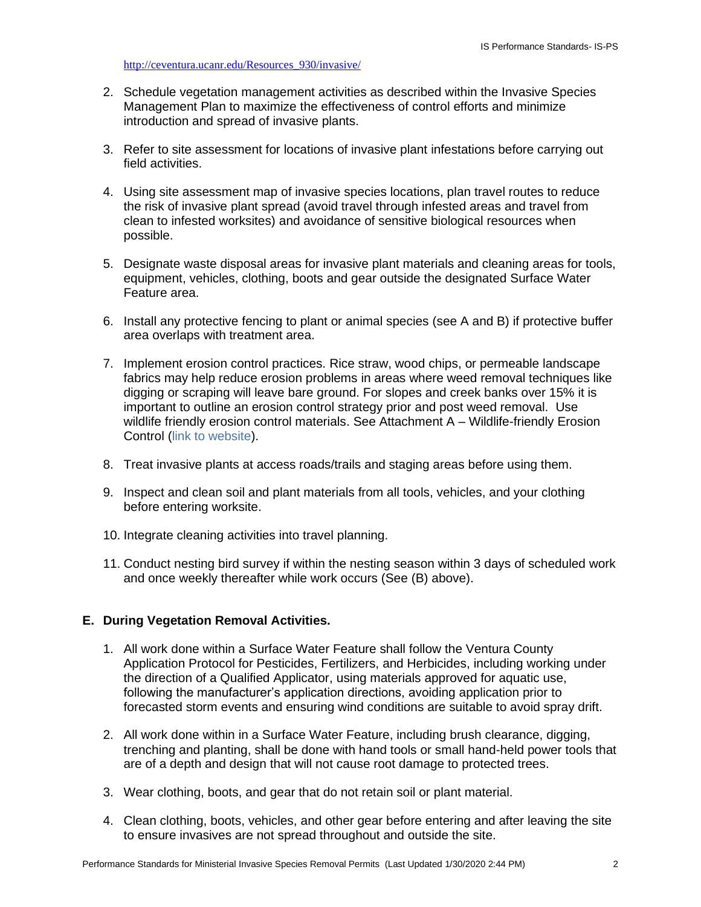#### [http://ceventura.ucanr.edu/Resources\\_930/invasive/](http://ceventura.ucanr.edu/Resources_930/invasive/)

- 2. Schedule vegetation management activities as described within the Invasive Species Management Plan to maximize the effectiveness of control efforts and minimize introduction and spread of invasive plants.
- 3. Refer to site assessment for locations of invasive plant infestations before carrying out field activities.
- 4. Using site assessment map of invasive species locations, plan travel routes to reduce the risk of invasive plant spread (avoid travel through infested areas and travel from clean to infested worksites) and avoidance of sensitive biological resources when possible.
- 5. Designate waste disposal areas for invasive plant materials and cleaning areas for tools, equipment, vehicles, clothing, boots and gear outside the designated Surface Water Feature area.
- 6. Install any protective fencing to plant or animal species (see A and B) if protective buffer area overlaps with treatment area.
- 7. Implement erosion control practices. Rice straw, wood chips, or permeable landscape fabrics may help reduce erosion problems in areas where weed removal techniques like digging or scraping will leave bare ground. For slopes and creek banks over 15% it is important to outline an erosion control strategy prior and post weed removal. Use wildlife friendly erosion control materials. See Attachment A – Wildlife-friendly Erosion Control [\(link to website\)](https://docs.vcrma.org/images/pdf/planning/HCWC/wildlife-friendly-erosion-control.pdf).
- 8. Treat invasive plants at access roads/trails and staging areas before using them.
- 9. Inspect and clean soil and plant materials from all tools, vehicles, and your clothing before entering worksite.
- 10. Integrate cleaning activities into travel planning.
- 11. Conduct nesting bird survey if within the nesting season within 3 days of scheduled work and once weekly thereafter while work occurs (See (B) above).

#### **E. During Vegetation Removal Activities.**

- 1. All work done within a Surface Water Feature shall follow the Ventura County Application Protocol for Pesticides, Fertilizers, and Herbicides, including working under the direction of a Qualified Applicator, using materials approved for aquatic use, following the manufacturer's application directions, avoiding application prior to forecasted storm events and ensuring wind conditions are suitable to avoid spray drift.
- 2. All work done within in a Surface Water Feature, including brush clearance, digging, trenching and planting, shall be done with hand tools or small hand-held power tools that are of a depth and design that will not cause root damage to protected trees.
- 3. Wear clothing, boots, and gear that do not retain soil or plant material.
- 4. Clean clothing, boots, vehicles, and other gear before entering and after leaving the site to ensure invasives are not spread throughout and outside the site.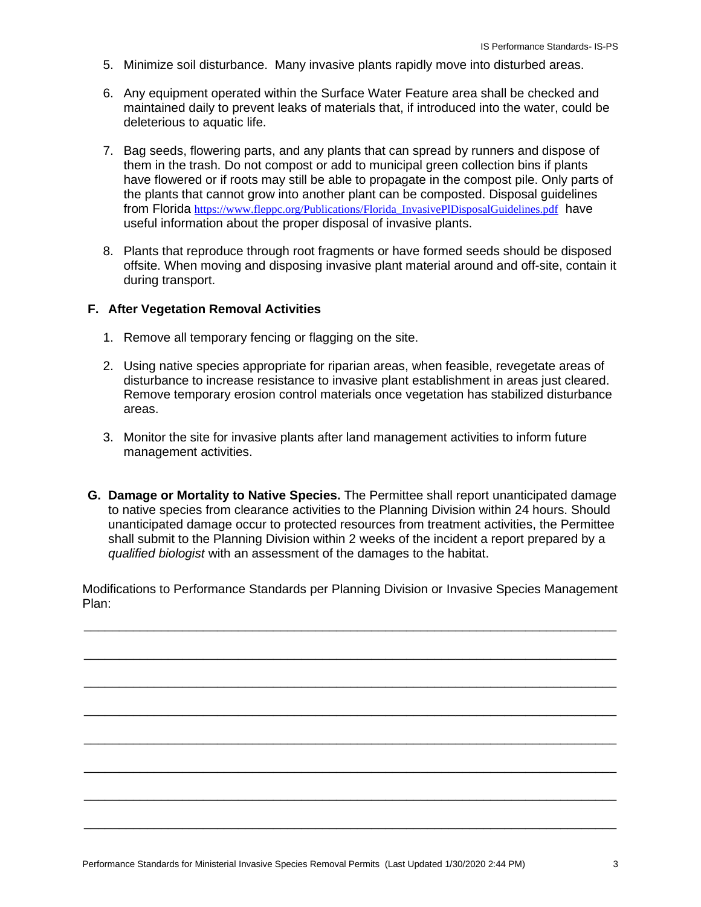- 5. Minimize soil disturbance. Many invasive plants rapidly move into disturbed areas.
- 6. Any equipment operated within the Surface Water Feature area shall be checked and maintained daily to prevent leaks of materials that, if introduced into the water, could be deleterious to aquatic life.
- 7. Bag seeds, flowering parts, and any plants that can spread by runners and dispose of them in the trash. Do not compost or add to municipal green collection bins if plants have flowered or if roots may still be able to propagate in the compost pile. Only parts of the plants that cannot grow into another plant can be composted. Disposal guidelines from Florida https://www.fleppc.org/Publications/Florida InvasivePlDisposalGuidelines.pdf have useful information about the proper disposal of invasive plants.
- 8. Plants that reproduce through root fragments or have formed seeds should be disposed offsite. When moving and disposing invasive plant material around and off-site, contain it during transport.

#### **F. After Vegetation Removal Activities**

- 1. Remove all temporary fencing or flagging on the site.
- 2. Using native species appropriate for riparian areas, when feasible, revegetate areas of disturbance to increase resistance to invasive plant establishment in areas just cleared. Remove temporary erosion control materials once vegetation has stabilized disturbance areas.
- 3. Monitor the site for invasive plants after land management activities to inform future management activities.
- **G. Damage or Mortality to Native Species.** The Permittee shall report unanticipated damage to native species from clearance activities to the Planning Division within 24 hours. Should unanticipated damage occur to protected resources from treatment activities, the Permittee shall submit to the Planning Division within 2 weeks of the incident a report prepared by a *qualified biologist* with an assessment of the damages to the habitat.

Modifications to Performance Standards per Planning Division or Invasive Species Management Plan:

\_\_\_\_\_\_\_\_\_\_\_\_\_\_\_\_\_\_\_\_\_\_\_\_\_\_\_\_\_\_\_\_\_\_\_\_\_\_\_\_\_\_\_\_\_\_\_\_\_\_\_\_\_\_\_\_\_\_\_\_\_\_\_\_\_\_\_\_\_\_\_\_\_\_\_\_

\_\_\_\_\_\_\_\_\_\_\_\_\_\_\_\_\_\_\_\_\_\_\_\_\_\_\_\_\_\_\_\_\_\_\_\_\_\_\_\_\_\_\_\_\_\_\_\_\_\_\_\_\_\_\_\_\_\_\_\_\_\_\_\_\_\_\_\_\_\_\_\_\_\_\_\_

\_\_\_\_\_\_\_\_\_\_\_\_\_\_\_\_\_\_\_\_\_\_\_\_\_\_\_\_\_\_\_\_\_\_\_\_\_\_\_\_\_\_\_\_\_\_\_\_\_\_\_\_\_\_\_\_\_\_\_\_\_\_\_\_\_\_\_\_\_\_\_\_\_\_\_\_

\_\_\_\_\_\_\_\_\_\_\_\_\_\_\_\_\_\_\_\_\_\_\_\_\_\_\_\_\_\_\_\_\_\_\_\_\_\_\_\_\_\_\_\_\_\_\_\_\_\_\_\_\_\_\_\_\_\_\_\_\_\_\_\_\_\_\_\_\_\_\_\_\_\_\_\_

\_\_\_\_\_\_\_\_\_\_\_\_\_\_\_\_\_\_\_\_\_\_\_\_\_\_\_\_\_\_\_\_\_\_\_\_\_\_\_\_\_\_\_\_\_\_\_\_\_\_\_\_\_\_\_\_\_\_\_\_\_\_\_\_\_\_\_\_\_\_\_\_\_\_\_\_

\_\_\_\_\_\_\_\_\_\_\_\_\_\_\_\_\_\_\_\_\_\_\_\_\_\_\_\_\_\_\_\_\_\_\_\_\_\_\_\_\_\_\_\_\_\_\_\_\_\_\_\_\_\_\_\_\_\_\_\_\_\_\_\_\_\_\_\_\_\_\_\_\_\_\_\_

\_\_\_\_\_\_\_\_\_\_\_\_\_\_\_\_\_\_\_\_\_\_\_\_\_\_\_\_\_\_\_\_\_\_\_\_\_\_\_\_\_\_\_\_\_\_\_\_\_\_\_\_\_\_\_\_\_\_\_\_\_\_\_\_\_\_\_\_\_\_\_\_\_\_\_\_

\_\_\_\_\_\_\_\_\_\_\_\_\_\_\_\_\_\_\_\_\_\_\_\_\_\_\_\_\_\_\_\_\_\_\_\_\_\_\_\_\_\_\_\_\_\_\_\_\_\_\_\_\_\_\_\_\_\_\_\_\_\_\_\_\_\_\_\_\_\_\_\_\_\_\_\_